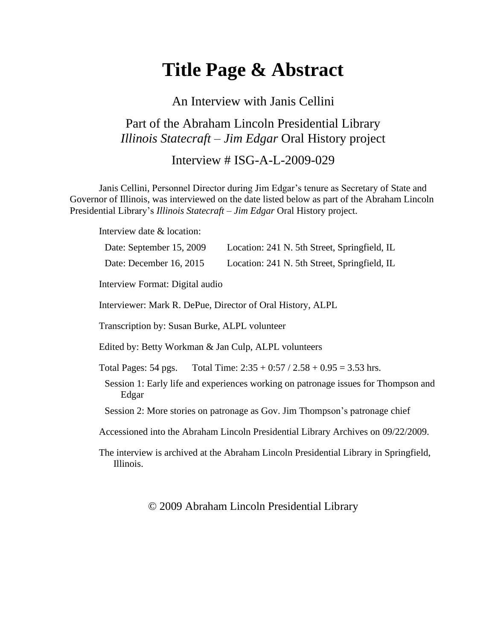# **Title Page & Abstract**

## An Interview with Janis Cellini

### Part of the Abraham Lincoln Presidential Library *Illinois Statecraft – Jim Edgar* Oral History project

#### Interview # ISG-A-L-2009-029

Janis Cellini, Personnel Director during Jim Edgar's tenure as Secretary of State and Governor of Illinois, was interviewed on the date listed below as part of the Abraham Lincoln Presidential Library's *Illinois Statecraft – Jim Edgar* Oral History project.

Interview date & location:

| Date: September 15, 2009                                   | Location: 241 N. 5th Street, Springfield, IL                                          |
|------------------------------------------------------------|---------------------------------------------------------------------------------------|
| Date: December 16, 2015                                    | Location: 241 N. 5th Street, Springfield, IL                                          |
| Interview Format: Digital audio                            |                                                                                       |
| Interviewer: Mark R. DePue, Director of Oral History, ALPL |                                                                                       |
| Transcription by: Susan Burke, ALPL volunteer              |                                                                                       |
| Edited by: Betty Workman & Jan Culp, ALPL volunteers       |                                                                                       |
|                                                            | Total Pages: 54 pgs. Total Time: $2:35 + 0:57 / 2.58 + 0.95 = 3.53$ hrs.              |
| Edgar                                                      | Session 1: Early life and experiences working on patronage issues for Thompson and    |
|                                                            | Session 2: More stories on patronage as Gov. Jim Thompson's patronage chief           |
|                                                            | Accessioned into the Abraham Lincoln Presidential Library Archives on 09/22/2009.     |
| Illinois.                                                  | The interview is archived at the Abraham Lincoln Presidential Library in Springfield, |

#### © 2009 Abraham Lincoln Presidential Library